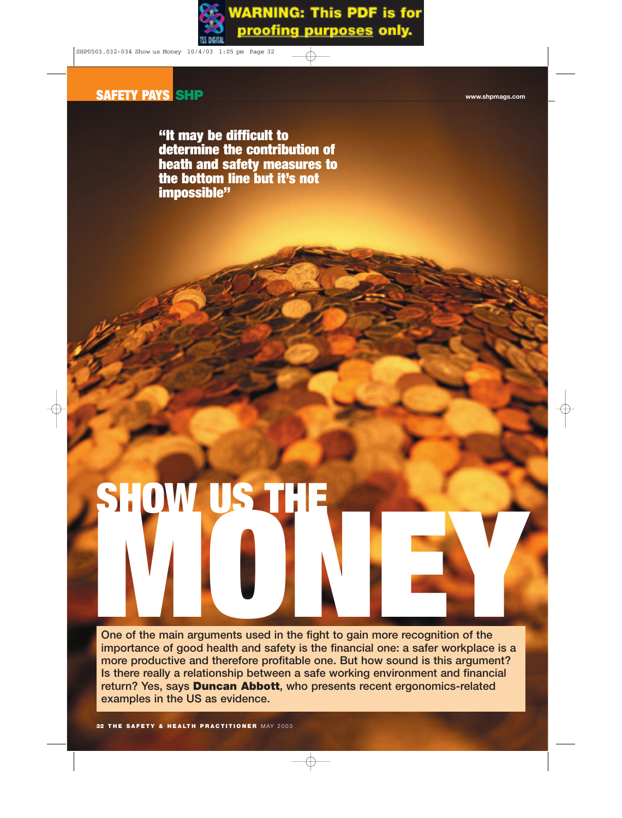**"It may be difficult to determine the contribution of heath and safety measures to the bottom line but it's not impossible"**

# **SHOW US THE**

**One of the main arguments used in the fight to gain more recognition of the importance of good health and safety is the financial one: a safer workplace is a more productive and therefore profitable one. But how sound is this argument? Is there really a relationship between a safe working environment and financial return? Yes, says Duncan Abbott, who presents recent ergonomics-related examples in the US as evidence.**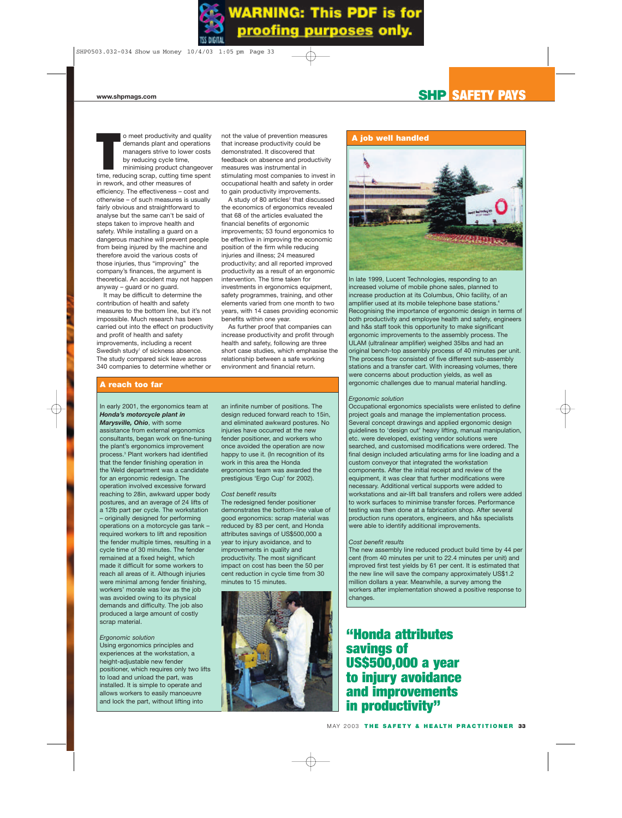o meet productivity and quality<br>demands plant and operations<br>managers strive to lower costs<br>by reducing cycle time,<br>minimising product changeove<br>time, reducing scrap, cutting time spent o meet productivity and quality demands plant and operations managers strive to lower costs by reducing cycle time, minimising product changeover in rework, and other measures of efficiency. The effectiveness – cost and otherwise – of such measures is usually fairly obvious and straightforward to analyse but the same can't be said of steps taken to improve health and safety. While installing a guard on a dangerous machine will prevent people from being injured by the machine and therefore avoid the various costs of those injuries, thus "improving" the company's finances, the argument is theoretical. An accident may not happen anyway – guard or no guard.

It may be difficult to determine the contribution of health and safety measures to the bottom line, but it's not impossible. Much research has been carried out into the effect on productivity and profit of health and safety improvements, including a recent Swedish study<sup>1</sup> of sickness absence. The study compared sick leave across 340 companies to determine whether or

not the value of prevention measures that increase productivity could be demonstrated. It discovered that feedback on absence and productivity measures was instrumental in stimulating most companies to invest in occupational health and safety in order to gain productivity improvements.

A study of 80 articles<sup>2</sup> that discussed the economics of ergonomics revealed that 68 of the articles evaluated the financial benefits of ergonomic improvements; 53 found ergonomics to be effective in improving the economic position of the firm while reducing injuries and illness; 24 measured productivity; and all reported improved productivity as a result of an ergonomic intervention. The time taken for investments in ergonomics equipment, safety programmes, training, and other elements varied from one month to two years, with 14 cases providing economic benefits within one year.

As further proof that companies can increase productivity and profit through health and safety, following are three short case studies, which emphasise the relationship between a safe working environment and financial return.

# **A reach too far**

# In early 2001, the ergonomics team at *Honda's motorcycle plant in Marysville, Ohio*, with some

assistance from external ergonomics consultants, began work on fine-tuning the plant's ergonomics improvement process.3 Plant workers had identified that the fender finishing operation in the Weld department was a candidate for an ergonomic redesign. The operation involved excessive forward reaching to 28in, awkward upper body postures, and an average of 24 lifts of a 12lb part per cycle. The workstation – originally designed for performing operations on a motorcycle gas tank – required workers to lift and reposition the fender multiple times, resulting in a cycle time of 30 minutes. The fender remained at a fixed height, which made it difficult for some workers to reach all areas of it. Although injuries were minimal among fender finishing, workers' morale was low as the job was avoided owing to its physical demands and difficulty. The job also produced a large amount of costly scrap material.

# *Ergonomic solution*

Using ergonomics principles and experiences at the workstation, a height-adjustable new fender positioner, which requires only two lifts to load and unload the part, was installed. It is simple to operate and allows workers to easily manoeuvre and lock the part, without lifting into

an infinite number of positions. The design reduced forward reach to 15in, and eliminated awkward postures. No injuries have occurred at the new fender positioner, and workers who once avoided the operation are now happy to use it. (In recognition of its work in this area the Honda ergonomics team was awarded the prestigious 'Ergo Cup' for 2002).

### *Cost benefit results*

The redesigned fender positioner demonstrates the bottom-line value of good ergonomics: scrap material was reduced by 83 per cent, and Honda attributes savings of US\$500,000 a year to injury avoidance, and to improvements in quality and productivity. The most significant impact on cost has been the 50 per cent reduction in cycle time from 30 minutes to 15 minutes.



# **A job well handled**



In late 1999, Lucent Technologies, responding to an increased volume of mobile phone sales, planned to increase production at its Columbus, Ohio facility, of an amplifier used at its mobile telephone base stations.4 Recognising the importance of ergonomic design in terms of both productivity and employee health and safety, engineers and h&s staff took this opportunity to make significant ergonomic improvements to the assembly process. The ULAM (ultralinear amplifier) weighed 35lbs and had an original bench-top assembly process of 40 minutes per unit. The process flow consisted of five different sub-assembly stations and a transfer cart. With increasing volumes, there were concerns about production yields, as well as ergonomic challenges due to manual material handling.

# *Ergonomic solution*

Occupational ergonomics specialists were enlisted to define project goals and manage the implementation process. Several concept drawings and applied ergonomic design guidelines to 'design out' heavy lifting, manual manipulation, etc. were developed, existing vendor solutions were searched, and customised modifications were ordered. The final design included articulating arms for line loading and a custom conveyor that integrated the workstation components. After the initial receipt and review of the equipment, it was clear that further modifications were necessary. Additional vertical supports were added to workstations and air-lift ball transfers and rollers were added to work surfaces to minimise transfer forces. Performance testing was then done at a fabrication shop. After several production runs operators, engineers, and h&s specialists were able to identify additional improvements.

# *Cost benefit results*

The new assembly line reduced product build time by 44 per cent (from 40 minutes per unit to 22.4 minutes per unit) and improved first test yields by 61 per cent. It is estimated that the new line will save the company approximately US\$1.2 million dollars a year. Meanwhile, a survey among the workers after implementation showed a positive response to changes.

# **"Honda attributes savings of US\$500,000 a year to injury avoidance and improvements in productivity"**